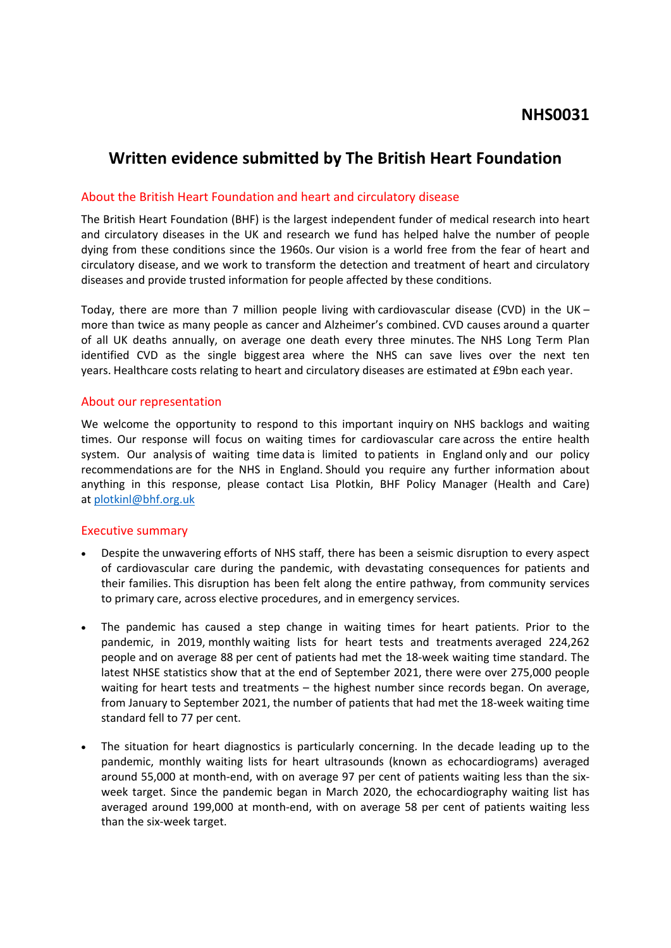# **Written evidence submitted by The British Heart Foundation**

### About the British Heart Foundation and heart and circulatory disease

The British Heart Foundation (BHF) is the largest independent funder of medical research into heart and circulatory diseases in the UK and research we fund has helped halve the number of people dying from these conditions since the 1960s. Our vision is a world free from the fear of heart and circulatory disease, and we work to transform the detection and treatment of heart and circulatory diseases and provide trusted information for people affected by these conditions.

Today, there are more than 7 million people living with cardiovascular disease (CVD) in the UK – more than twice as many people as cancer and Alzheimer's combined. CVD causes around a quarter of all UK deaths annually, on average one death every three minutes. The NHS Long Term Plan identified CVD as the single biggest area where the NHS can save lives over the next ten years. Healthcare costs relating to heart and circulatory diseases are estimated at £9bn each year.

# About our representation

We welcome the opportunity to respond to this important inquiry on NHS backlogs and waiting times. Our response will focus on waiting times for cardiovascular care across the entire health system. Our analysis of waiting time data is limited to patients in England only and our policy recommendations are for the NHS in England. Should you require any further information about anything in this response, please contact Lisa Plotkin, BHF Policy Manager (Health and Care) at [plotkinl@bhf.org.uk](mailto:plotkinl@bhf.org.uk)

#### Executive summary

- Despite the unwavering efforts of NHS staff, there has been a seismic disruption to every aspect of cardiovascular care during the pandemic, with devastating consequences for patients and their families. This disruption has been felt along the entire pathway, from community services to primary care, across elective procedures, and in emergency services.
- The pandemic has caused a step change in waiting times for heart patients. Prior to the pandemic, in 2019, monthly waiting lists for heart tests and treatments averaged 224,262 people and on average 88 per cent of patients had met the 18-week waiting time standard. The latest NHSE statistics show that at the end of September 2021, there were over 275,000 people waiting for heart tests and treatments – the highest number since records began. On average, from January to September 2021, the number of patients that had met the 18-week waiting time standard fell to 77 per cent.
- The situation for heart diagnostics is particularly concerning. In the decade leading up to the pandemic, monthly waiting lists for heart ultrasounds (known as echocardiograms) averaged around 55,000 at month-end, with on average 97 per cent of patients waiting less than the sixweek target. Since the pandemic began in March 2020, the echocardiography waiting list has averaged around 199,000 at month-end, with on average 58 per cent of patients waiting less than the six-week target.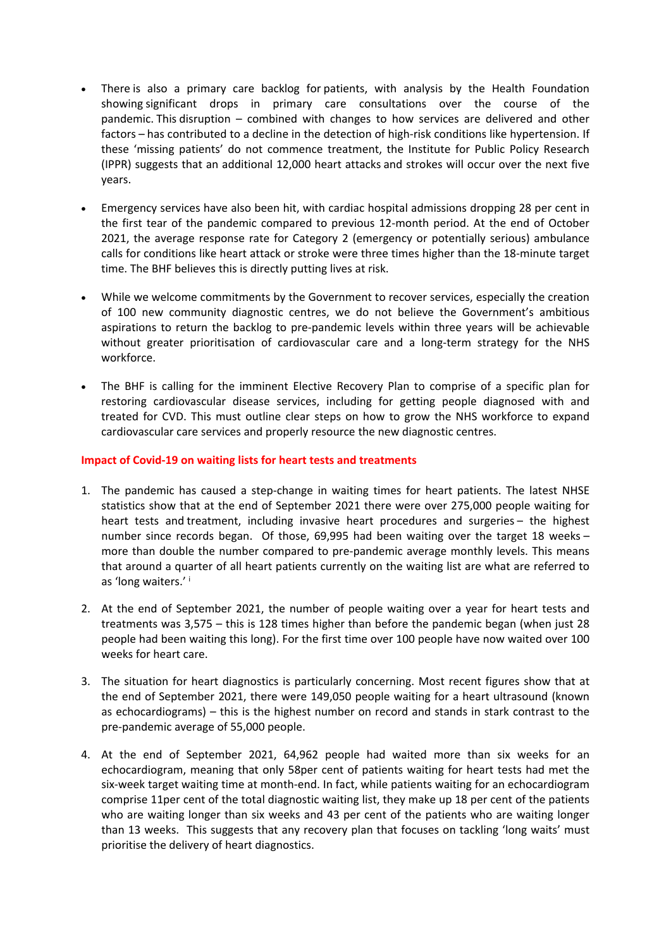- There is also a primary care backlog for patients, with analysis by the Health Foundation showing significant drops in primary care consultations over the course of the pandemic. This disruption – combined with changes to how services are delivered and other factors – has contributed to a decline in the detection of high-risk conditions like hypertension. If these 'missing patients' do not commence treatment, the Institute for Public Policy Research (IPPR) suggests that an additional 12,000 heart attacks and strokes will occur over the next five years.
- Emergency services have also been hit, with cardiac hospital admissions dropping 28 per cent in the first tear of the pandemic compared to previous 12-month period. At the end of October 2021, the average response rate for Category 2 (emergency or potentially serious) ambulance calls for conditions like heart attack or stroke were three times higher than the 18-minute target time. The BHF believes this is directly putting lives at risk.
- While we welcome commitments by the Government to recover services, especially the creation of 100 new community diagnostic centres, we do not believe the Government's ambitious aspirations to return the backlog to pre-pandemic levels within three years will be achievable without greater prioritisation of cardiovascular care and a long-term strategy for the NHS workforce.
- The BHF is calling for the imminent Elective Recovery Plan to comprise of a specific plan for restoring cardiovascular disease services, including for getting people diagnosed with and treated for CVD. This must outline clear steps on how to grow the NHS workforce to expand cardiovascular care services and properly resource the new diagnostic centres.

#### **Impact of Covid-19 on waiting lists for heart tests and treatments**

- 1. The pandemic has caused a step-change in waiting times for heart patients. The latest NHSE statistics show that at the end of September 2021 there were over 275,000 people waiting for heart tests and treatment, including invasive heart procedures and surgeries – the highest number since records began. Of those, 69,995 had been waiting over the target 18 weeks – more than double the number compared to pre-pandemic average monthly levels. This means that around a quarter of all heart patients currently on the waiting list are what are referred to as 'long waiters.' <sup>i</sup>
- 2. At the end of September 2021, the number of people waiting over a year for heart tests and treatments was 3,575 – this is 128 times higher than before the pandemic began (when just 28 people had been waiting this long). For the first time over 100 people have now waited over 100 weeks for heart care.
- 3. The situation for heart diagnostics is particularly concerning. Most recent figures show that at the end of September 2021, there were 149,050 people waiting for a heart ultrasound (known as echocardiograms) – this is the highest number on record and stands in stark contrast to the pre-pandemic average of 55,000 people.
- 4. At the end of September 2021, 64,962 people had waited more than six weeks for an echocardiogram, meaning that only 58per cent of patients waiting for heart tests had met the six-week target waiting time at month-end. In fact, while patients waiting for an echocardiogram comprise 11per cent of the total diagnostic waiting list, they make up 18 per cent of the patients who are waiting longer than six weeks and 43 per cent of the patients who are waiting longer than 13 weeks. This suggests that any recovery plan that focuses on tackling 'long waits' must prioritise the delivery of heart diagnostics.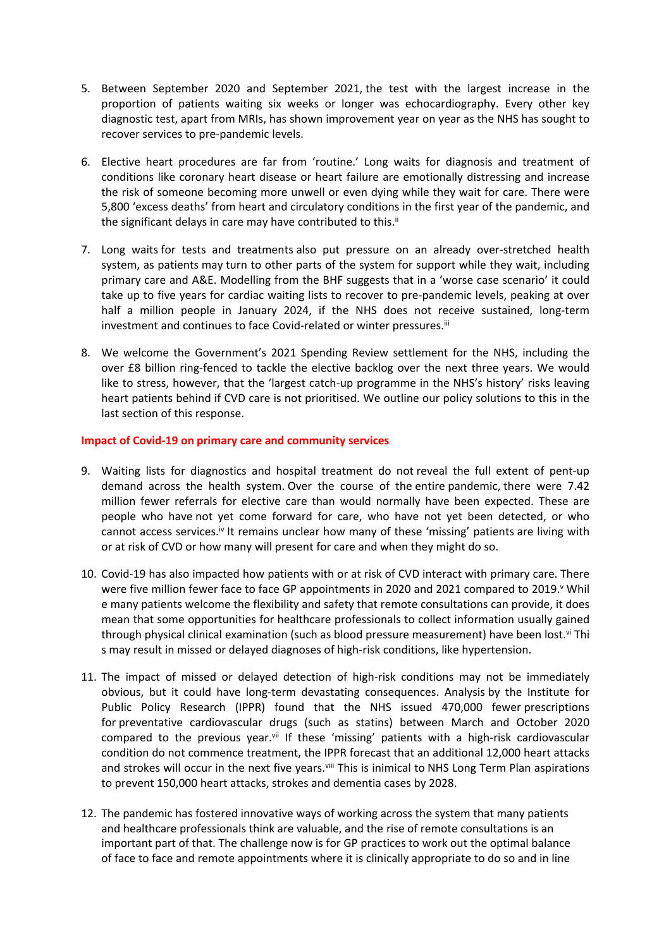- 5. Between September 2020 and September 2021, the test with the largest increase in the proportion of patients waiting six weeks or longer was echocardiography. Every other key diagnostic test, apart from MRIs, has shown improvement year on year as the NHS has sought to recover services to pre-pandemic levels.
- 6. Elective heart procedures are far from 'routine.' Long waits for diagnosis and treatment of conditions like coronary heart disease or heart failure are emotionally distressing and increase the risk of someone becoming more unwell or even dying while they wait for care. There were 5,800 'excess deaths' from heart and circulatory conditions in the first year of the pandemic, and the significant delays in care may have contributed to this.<sup>ii</sup>
- 7. Long waits for tests and treatments also put pressure on an already over-stretched health system, as patients may turn to other parts of the system for support while they wait, including primary care and A&E. Modelling from the BHF suggests that in a 'worse case scenario' it could take up to five years for cardiac waiting lists to recover to pre-pandemic levels, peaking at over half a million people in January 2024, if the NHS does not receive sustained, long-term investment and continues to face Covid-related or winter pressures.<sup>iii</sup>
- 8. We welcome the Government's 2021 Spending Review settlement for the NHS, including the over £8 billion ring-fenced to tackle the elective backlog over the next three years. We would like to stress, however, that the 'largest catch-up programme in the NHS's history' risks leaving heart patients behind if CVD care is not prioritised. We outline our policy solutions to this in the last section of this response.

#### **Impact of Covid-19 on primary care and community services**

- 9. Waiting lists for diagnostics and hospital treatment do not reveal the full extent of pent-up demand across the health system. Over the course of the entire pandemic, there were 7.42 million fewer referrals for elective care than would normally have been expected. These are people who have not yet come forward for care, who have not yet been detected, or who cannot access services.<sup>iv</sup> It remains unclear how many of these 'missing' patients are living with or at risk of CVD or how many will present for care and when they might do so.
- 10. Covid-19 has also impacted how patients with or at risk of CVD interact with primary care. There were five million fewer face to face GP appointments in 2020 and 2021 compared to 2019.<sup>v</sup> Whil e many patients welcome the flexibility and safety that remote consultations can provide, it does mean that some opportunities for healthcare professionals to collect information usually gained through physical clinical examination (such as blood pressure measurement) have been lost.<sup>vi</sup> Thi s may result in missed or delayed diagnoses of high-risk conditions, like hypertension.
- 11. The impact of missed or delayed detection of high-risk conditions may not be immediately obvious, but it could have long-term devastating consequences. Analysis by the Institute for Public Policy Research (IPPR) found that the NHS issued 470,000 fewer prescriptions for preventative cardiovascular drugs (such as statins) between March and October 2020 compared to the previous year.<sup>vii</sup> If these 'missing' patients with a high-risk cardiovascular condition do not commence treatment, the IPPR forecast that an additional 12,000 heart attacks and strokes will occur in the next five years.<sup>viii</sup> This is inimical to NHS Long Term Plan aspirations to prevent 150,000 heart attacks, strokes and dementia cases by 2028.
- 12. The pandemic has fostered innovative ways of working across the system that many patients and healthcare professionals think are valuable, and the rise of remote consultations is an important part of that. The challenge now is for GP practices to work out the optimal balance of face to face and remote appointments where it is clinically appropriate to do so and in line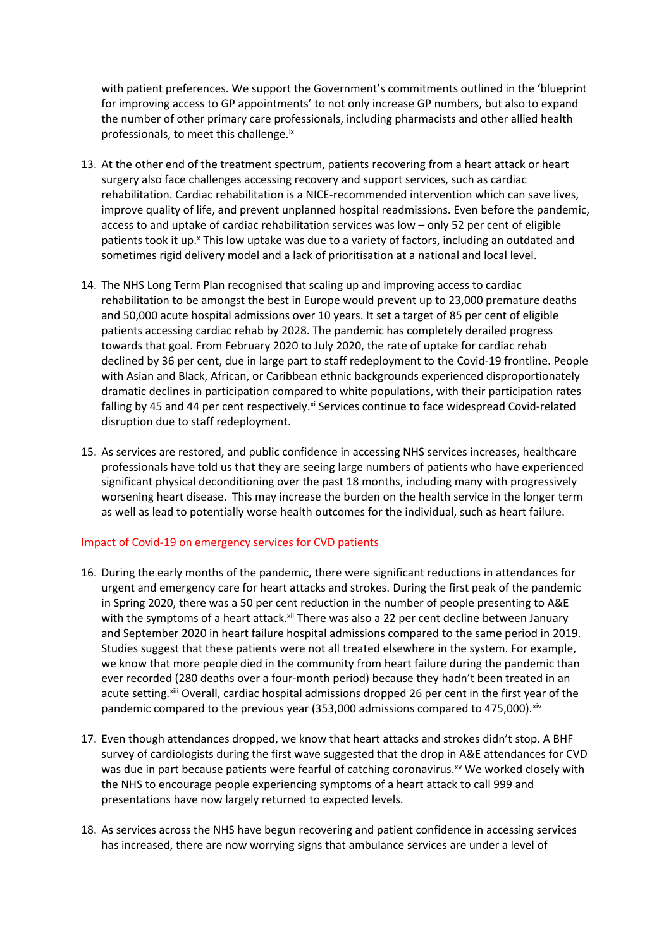with patient preferences. We support the Government's commitments outlined in the 'blueprint for improving access to GP appointments' to not only increase GP numbers, but also to expand the number of other primary care professionals, including pharmacists and other allied health professionals, to meet this challenge.ix

- 13. At the other end of the treatment spectrum, patients recovering from a heart attack or heart surgery also face challenges accessing recovery and support services, such as cardiac rehabilitation. Cardiac rehabilitation is a NICE-recommended intervention which can save lives, improve quality of life, and prevent unplanned hospital readmissions. Even before the pandemic, access to and uptake of cardiac rehabilitation services was low – only 52 per cent of eligible patients took it up.<sup>x</sup> This low uptake was due to a variety of factors, including an outdated and sometimes rigid delivery model and a lack of prioritisation at a national and local level.
- 14. The NHS Long Term Plan recognised that scaling up and improving access to cardiac rehabilitation to be amongst the best in Europe would prevent up to 23,000 premature deaths and 50,000 acute hospital admissions over 10 years. It set a target of 85 per cent of eligible patients accessing cardiac rehab by 2028. The pandemic has completely derailed progress towards that goal. From February 2020 to July 2020, the rate of uptake for cardiac rehab declined by 36 per cent, due in large part to staff redeployment to the Covid-19 frontline. People with Asian and Black, African, or Caribbean ethnic backgrounds experienced disproportionately dramatic declines in participation compared to white populations, with their participation rates falling by 45 and 44 per cent respectively.<sup>xi</sup> Services continue to face widespread Covid-related disruption due to staff redeployment.
- 15. As services are restored, and public confidence in accessing NHS services increases, healthcare professionals have told us that they are seeing large numbers of patients who have experienced significant physical deconditioning over the past 18 months, including many with progressively worsening heart disease.  This may increase the burden on the health service in the longer term as well as lead to potentially worse health outcomes for the individual, such as heart failure.

#### Impact of Covid-19 on emergency services for CVD patients

- 16. During the early months of the pandemic, there were significant reductions in attendances for urgent and emergency care for heart attacks and strokes. During the first peak of the pandemic in Spring 2020, there was a 50 per cent reduction in the number of people presenting to A&E with the symptoms of a heart attack.<sup>xii</sup> There was also a 22 per cent decline between January and September 2020 in heart failure hospital admissions compared to the same period in 2019. Studies suggest that these patients were not all treated elsewhere in the system. For example, we know that more people died in the community from heart failure during the pandemic than ever recorded (280 deaths over a four-month period) because they hadn't been treated in an acute setting.<sup>xiii</sup> Overall, cardiac hospital admissions dropped 26 per cent in the first year of the pandemic compared to the previous year (353,000 admissions compared to 475,000). $\frac{x}{x}$
- 17. Even though attendances dropped, we know that heart attacks and strokes didn't stop. A BHF survey of cardiologists during the first wave suggested that the drop in A&E attendances for CVD was due in part because patients were fearful of catching coronavirus.<sup>xv</sup> We worked closely with the NHS to encourage people experiencing symptoms of a heart attack to call 999 and presentations have now largely returned to expected levels.
- 18. As services across the NHS have begun recovering and patient confidence in accessing services has increased, there are now worrying signs that ambulance services are under a level of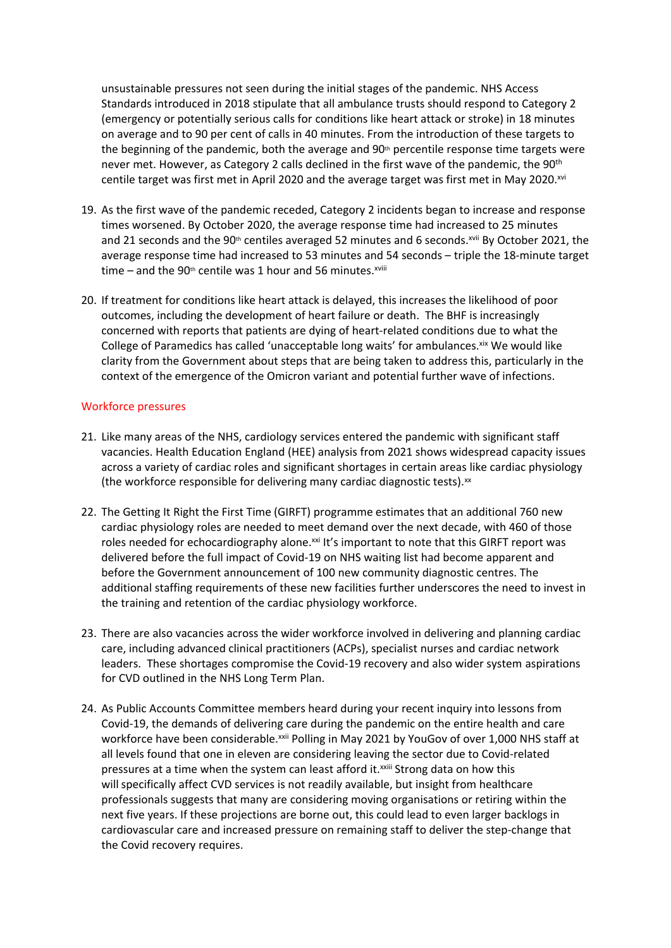unsustainable pressures not seen during the initial stages of the pandemic. NHS Access Standards introduced in 2018 stipulate that all ambulance trusts should respond to Category 2 (emergency or potentially serious calls for conditions like heart attack or stroke) in 18 minutes on average and to 90 per cent of calls in 40 minutes. From the introduction of these targets to the beginning of the pandemic, both the average and  $90<sup>th</sup>$  percentile response time targets were never met. However, as Category 2 calls declined in the first wave of the pandemic, the 90<sup>th</sup> centile target was first met in April 2020 and the average target was first met in May 2020.xvi

- 19. As the first wave of the pandemic receded, Category 2 incidents began to increase and response times worsened. By October 2020, the average response time had increased to 25 minutes and 21 seconds and the  $90th$  centiles averaged 52 minutes and 6 seconds.<sup>xvii</sup> By October 2021, the average response time had increased to 53 minutes and 54 seconds – triple the 18-minute target time – and the 90<sup>th</sup> centile was 1 hour and 56 minutes.<sup>xviii</sup>
- 20. If treatment for conditions like heart attack is delayed, this increases the likelihood of poor outcomes, including the development of heart failure or death. The BHF is increasingly concerned with reports that patients are dying of heart-related conditions due to what the College of Paramedics has called 'unacceptable long waits' for ambulances. Xix We would like clarity from the Government about steps that are being taken to address this, particularly in the context of the emergence of the Omicron variant and potential further wave of infections.

#### Workforce pressures

- 21. Like many areas of the NHS, cardiology services entered the pandemic with significant staff vacancies. Health Education England (HEE) analysis from 2021 shows widespread capacity issues across a variety of cardiac roles and significant shortages in certain areas like cardiac physiology (the workforce responsible for delivering many cardiac diagnostic tests). $x$
- 22. The Getting It Right the First Time (GIRFT) programme estimates that an additional 760 new cardiac physiology roles are needed to meet demand over the next decade, with 460 of those roles needed for echocardiography alone.<sup>xxi</sup> It's important to note that this GIRFT report was delivered before the full impact of Covid-19 on NHS waiting list had become apparent and before the Government announcement of 100 new community diagnostic centres. The additional staffing requirements of these new facilities further underscores the need to invest in the training and retention of the cardiac physiology workforce.
- 23. There are also vacancies across the wider workforce involved in delivering and planning cardiac care, including advanced clinical practitioners (ACPs), specialist nurses and cardiac network leaders. These shortages compromise the Covid-19 recovery and also wider system aspirations for CVD outlined in the NHS Long Term Plan.
- 24. As Public Accounts Committee members heard during your recent inquiry into lessons from Covid-19, the demands of delivering care during the pandemic on the entire health and care workforce have been considerable.<sup>xxii</sup> Polling in May 2021 by YouGov of over 1,000 NHS staff at all levels found that one in eleven are considering leaving the sector due to Covid-related pressures at a time when the system can least afford it.<sup>xxiii</sup> Strong data on how this will specifically affect CVD services is not readily available, but insight from healthcare professionals suggests that many are considering moving organisations or retiring within the next five years. If these projections are borne out, this could lead to even larger backlogs in cardiovascular care and increased pressure on remaining staff to deliver the step-change that the Covid recovery requires.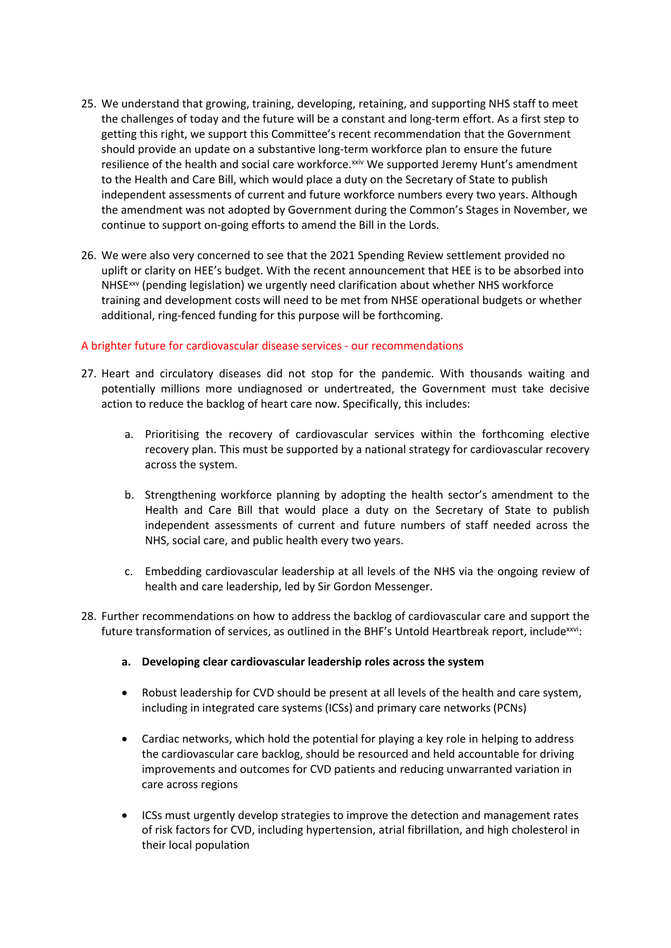- 25. We understand that growing, training, developing, retaining, and supporting NHS staff to meet the challenges of today and the future will be a constant and long-term effort. As a first step to getting this right, we support this Committee's recent recommendation that the Government should provide an update on a substantive long-term workforce plan to ensure the future resilience of the health and social care workforce.<sup>xxiv</sup> We supported Jeremy Hunt's amendment to the Health and Care Bill, which would place a duty on the Secretary of State to publish independent assessments of current and future workforce numbers every two years. Although the amendment was not adopted by Government during the Common's Stages in November, we continue to support on-going efforts to amend the Bill in the Lords.
- 26. We were also very concerned to see that the 2021 Spending Review settlement provided no uplift or clarity on HEE's budget. With the recent announcement that HEE is to be absorbed into NHSExxv (pending legislation) we urgently need clarification about whether NHS workforce training and development costs will need to be met from NHSE operational budgets or whether additional, ring-fenced funding for this purpose will be forthcoming.

# A brighter future for cardiovascular disease services - our recommendations

- 27. Heart and circulatory diseases did not stop for the pandemic. With thousands waiting and potentially millions more undiagnosed or undertreated, the Government must take decisive action to reduce the backlog of heart care now. Specifically, this includes:
	- a. Prioritising the recovery of cardiovascular services within the forthcoming elective recovery plan. This must be supported by a national strategy for cardiovascular recovery across the system.
	- b. Strengthening workforce planning by adopting the health sector's amendment to the Health and Care Bill that would place a duty on the Secretary of State to publish independent assessments of current and future numbers of staff needed across the NHS, social care, and public health every two years.
	- c. Embedding cardiovascular leadership at all levels of the NHS via the ongoing review of health and care leadership, led by Sir Gordon Messenger.
- 28. Further recommendations on how to address the backlog of cardiovascular care and support the future transformation of services, as outlined in the BHF's Untold Heartbreak report, include<sup>xxvi</sup>:
	- **a. Developing clear cardiovascular leadership roles across the system**
	- Robust leadership for CVD should be present at all levels of the health and care system, including in integrated care systems (ICSs) and primary care networks (PCNs)
	- Cardiac networks, which hold the potential for playing a key role in helping to address the cardiovascular care backlog, should be resourced and held accountable for driving improvements and outcomes for CVD patients and reducing unwarranted variation in care across regions
	- ICSs must urgently develop strategies to improve the detection and management rates of risk factors for CVD, including hypertension, atrial fibrillation, and high cholesterol in their local population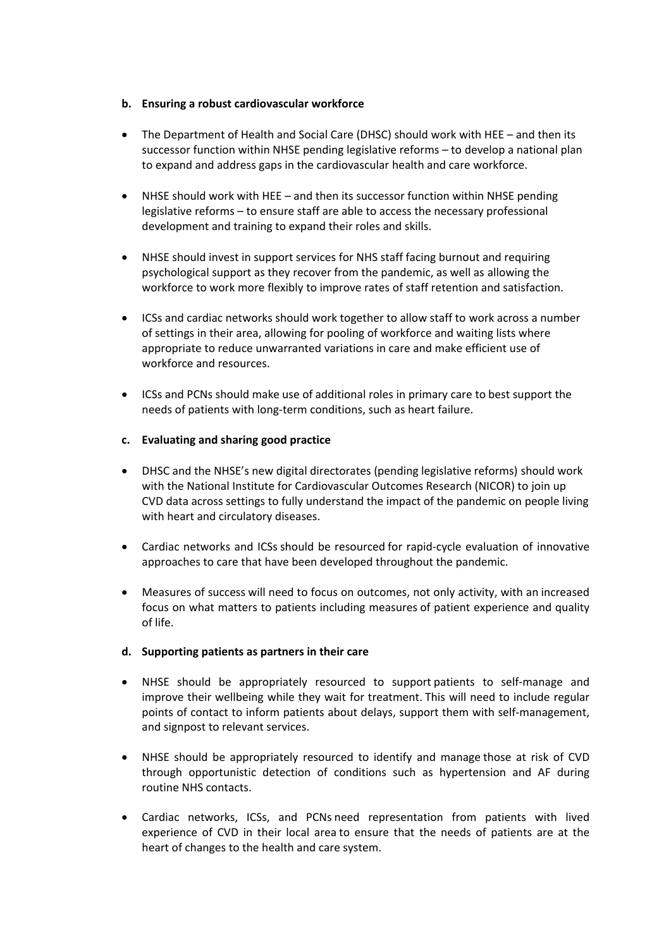#### **b. Ensuring a robust cardiovascular workforce**

- The Department of Health and Social Care (DHSC) should work with HEE and then its successor function within NHSE pending legislative reforms – to develop a national plan to expand and address gaps in the cardiovascular health and care workforce.
- NHSE should work with HEE and then its successor function within NHSE pending legislative reforms – to ensure staff are able to access the necessary professional development and training to expand their roles and skills.
- NHSE should invest in support services for NHS staff facing burnout and requiring psychological support as they recover from the pandemic, as well as allowing the workforce to work more flexibly to improve rates of staff retention and satisfaction.
- ICSs and cardiac networks should work together to allow staff to work across a number of settings in their area, allowing for pooling of workforce and waiting lists where appropriate to reduce unwarranted variations in care and make efficient use of workforce and resources.
- ICSs and PCNs should make use of additional roles in primary care to best support the needs of patients with long-term conditions, such as heart failure.

# **c. Evaluating and sharing good practice**

- DHSC and the NHSE's new digital directorates (pending legislative reforms) should work with the National Institute for Cardiovascular Outcomes Research (NICOR) to join up CVD data across settings to fully understand the impact of the pandemic on people living with heart and circulatory diseases.
- Cardiac networks and ICSs should be resourced for rapid-cycle evaluation of innovative approaches to care that have been developed throughout the pandemic.
- Measures of success will need to focus on outcomes, not only activity, with an increased focus on what matters to patients including measures of patient experience and quality of life.

# **d. Supporting patients as partners in their care**

- NHSE should be appropriately resourced to support patients to self-manage and improve their wellbeing while they wait for treatment. This will need to include regular points of contact to inform patients about delays, support them with self-management, and signpost to relevant services.
- NHSE should be appropriately resourced to identify and manage those at risk of CVD through opportunistic detection of conditions such as hypertension and AF during routine NHS contacts.
- Cardiac networks, ICSs, and PCNs need representation from patients with lived experience of CVD in their local area to ensure that the needs of patients are at the heart of changes to the health and care system.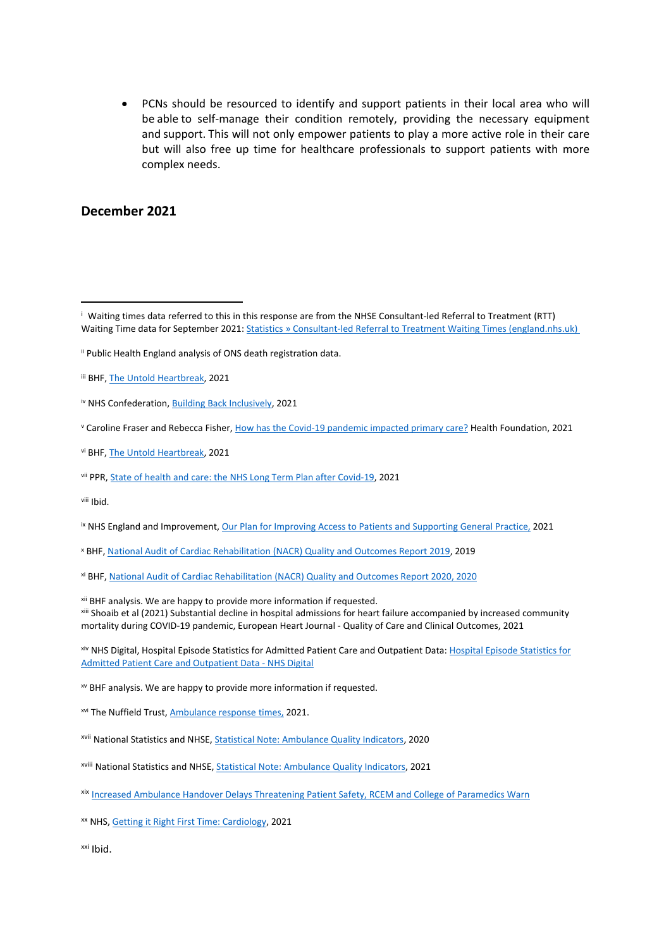PCNs should be resourced to identify and support patients in their local area who will be able to self-manage their condition remotely, providing the necessary equipment and support. This will not only empower patients to play a more active role in their care but will also free up time for healthcare professionals to support patients with more complex needs.

# **December 2021**

<sup>x</sup> BHF, [National](https://www.bhf.org.uk/informationsupport/publications/statistics/national-audit-of-cardiac-rehabilitation-quality-and-outcomes-report-2019) [Audit](https://www.bhf.org.uk/informationsupport/publications/statistics/national-audit-of-cardiac-rehabilitation-quality-and-outcomes-report-2019) [of](https://www.bhf.org.uk/informationsupport/publications/statistics/national-audit-of-cardiac-rehabilitation-quality-and-outcomes-report-2019) [Cardiac](https://www.bhf.org.uk/informationsupport/publications/statistics/national-audit-of-cardiac-rehabilitation-quality-and-outcomes-report-2019) [Rehabilitation](https://www.bhf.org.uk/informationsupport/publications/statistics/national-audit-of-cardiac-rehabilitation-quality-and-outcomes-report-2019) [\(NACR\)](https://www.bhf.org.uk/informationsupport/publications/statistics/national-audit-of-cardiac-rehabilitation-quality-and-outcomes-report-2019) [Quality](https://www.bhf.org.uk/informationsupport/publications/statistics/national-audit-of-cardiac-rehabilitation-quality-and-outcomes-report-2019) [and](https://www.bhf.org.uk/informationsupport/publications/statistics/national-audit-of-cardiac-rehabilitation-quality-and-outcomes-report-2019) [Outcomes](https://www.bhf.org.uk/informationsupport/publications/statistics/national-audit-of-cardiac-rehabilitation-quality-and-outcomes-report-2019) [Report](https://www.bhf.org.uk/informationsupport/publications/statistics/national-audit-of-cardiac-rehabilitation-quality-and-outcomes-report-2019) [2019](https://www.bhf.org.uk/informationsupport/publications/statistics/national-audit-of-cardiac-rehabilitation-quality-and-outcomes-report-2019), 2019

xii BHF analysis. We are happy to provide more information if requested.

xiii Shoaib et al (2021) Substantial decline in hospital admissions for heart failure accompanied by increased community mortality during COVID-19 pandemic, European Heart Journal - Quality of Care and Clinical Outcomes, 2021

xiv NHS Digital, Hospital Episode Statistics for Admitted Patient Care and Outpatient Data: [Hospital](https://digital.nhs.uk/data-and-information/publications/statistical/hospital-episode-statistics-for-admitted-patient-care-outpatient-and-accident-and-emergency-data) [Episode](https://digital.nhs.uk/data-and-information/publications/statistical/hospital-episode-statistics-for-admitted-patient-care-outpatient-and-accident-and-emergency-data) [Statistics](https://digital.nhs.uk/data-and-information/publications/statistical/hospital-episode-statistics-for-admitted-patient-care-outpatient-and-accident-and-emergency-data) [for](https://digital.nhs.uk/data-and-information/publications/statistical/hospital-episode-statistics-for-admitted-patient-care-outpatient-and-accident-and-emergency-data) [Admitted](https://digital.nhs.uk/data-and-information/publications/statistical/hospital-episode-statistics-for-admitted-patient-care-outpatient-and-accident-and-emergency-data) [Patient](https://digital.nhs.uk/data-and-information/publications/statistical/hospital-episode-statistics-for-admitted-patient-care-outpatient-and-accident-and-emergency-data) [Care](https://digital.nhs.uk/data-and-information/publications/statistical/hospital-episode-statistics-for-admitted-patient-care-outpatient-and-accident-and-emergency-data) [and](https://digital.nhs.uk/data-and-information/publications/statistical/hospital-episode-statistics-for-admitted-patient-care-outpatient-and-accident-and-emergency-data) [Outpatient](https://digital.nhs.uk/data-and-information/publications/statistical/hospital-episode-statistics-for-admitted-patient-care-outpatient-and-accident-and-emergency-data) [Data](https://digital.nhs.uk/data-and-information/publications/statistical/hospital-episode-statistics-for-admitted-patient-care-outpatient-and-accident-and-emergency-data) [-](https://digital.nhs.uk/data-and-information/publications/statistical/hospital-episode-statistics-for-admitted-patient-care-outpatient-and-accident-and-emergency-data) [NHS](https://digital.nhs.uk/data-and-information/publications/statistical/hospital-episode-statistics-for-admitted-patient-care-outpatient-and-accident-and-emergency-data) [Digital](https://digital.nhs.uk/data-and-information/publications/statistical/hospital-episode-statistics-for-admitted-patient-care-outpatient-and-accident-and-emergency-data)

xv BHF analysis. We are happy to provide more information if requested.

xvi The Nuffield Trust, [Ambulance](https://www.nuffieldtrust.org.uk/resource/ambulance-response-times) [response](https://www.nuffieldtrust.org.uk/resource/ambulance-response-times) [times,](https://www.nuffieldtrust.org.uk/resource/ambulance-response-times) 2021.

xvii National Statistics and NHSE, [Statistical](https://www.england.nhs.uk/statistics/wp-content/uploads/sites/2/2020/11/20201112-AQI-Statistical-Note-1.pdf) [Note:](https://www.england.nhs.uk/statistics/wp-content/uploads/sites/2/2020/11/20201112-AQI-Statistical-Note-1.pdf) [Ambulance](https://www.england.nhs.uk/statistics/wp-content/uploads/sites/2/2020/11/20201112-AQI-Statistical-Note-1.pdf) [Quality](https://www.england.nhs.uk/statistics/wp-content/uploads/sites/2/2020/11/20201112-AQI-Statistical-Note-1.pdf) [Indicators](https://www.england.nhs.uk/statistics/wp-content/uploads/sites/2/2020/11/20201112-AQI-Statistical-Note-1.pdf), 2020

- xviii National Statistics and NHSE, [Statistical](https://www.england.nhs.uk/statistics/wp-content/uploads/sites/2/2021/11/20211111-Ambulance-Quality-Indicators-Statistical-Note.pdf) [Note:](https://www.england.nhs.uk/statistics/wp-content/uploads/sites/2/2021/11/20211111-Ambulance-Quality-Indicators-Statistical-Note.pdf) [Ambulance](https://www.england.nhs.uk/statistics/wp-content/uploads/sites/2/2021/11/20211111-Ambulance-Quality-Indicators-Statistical-Note.pdf) [Quality](https://www.england.nhs.uk/statistics/wp-content/uploads/sites/2/2021/11/20211111-Ambulance-Quality-Indicators-Statistical-Note.pdf) [Indicators,](https://www.england.nhs.uk/statistics/wp-content/uploads/sites/2/2021/11/20211111-Ambulance-Quality-Indicators-Statistical-Note.pdf) 2021
- xix [Increased](https://collegeofparamedics.co.uk/COP/News/Increased_Ambulance_Handover_Delays_Threatening_Patient_Safety_RCEM_and_College_of_Paramedics_Warn.aspx) [Ambulance](https://collegeofparamedics.co.uk/COP/News/Increased_Ambulance_Handover_Delays_Threatening_Patient_Safety_RCEM_and_College_of_Paramedics_Warn.aspx) [Handover](https://collegeofparamedics.co.uk/COP/News/Increased_Ambulance_Handover_Delays_Threatening_Patient_Safety_RCEM_and_College_of_Paramedics_Warn.aspx) [Delays](https://collegeofparamedics.co.uk/COP/News/Increased_Ambulance_Handover_Delays_Threatening_Patient_Safety_RCEM_and_College_of_Paramedics_Warn.aspx) [Threatening](https://collegeofparamedics.co.uk/COP/News/Increased_Ambulance_Handover_Delays_Threatening_Patient_Safety_RCEM_and_College_of_Paramedics_Warn.aspx) [Patient](https://collegeofparamedics.co.uk/COP/News/Increased_Ambulance_Handover_Delays_Threatening_Patient_Safety_RCEM_and_College_of_Paramedics_Warn.aspx) [Safety,](https://collegeofparamedics.co.uk/COP/News/Increased_Ambulance_Handover_Delays_Threatening_Patient_Safety_RCEM_and_College_of_Paramedics_Warn.aspx) [RCEM](https://collegeofparamedics.co.uk/COP/News/Increased_Ambulance_Handover_Delays_Threatening_Patient_Safety_RCEM_and_College_of_Paramedics_Warn.aspx) [and](https://collegeofparamedics.co.uk/COP/News/Increased_Ambulance_Handover_Delays_Threatening_Patient_Safety_RCEM_and_College_of_Paramedics_Warn.aspx) [College](https://collegeofparamedics.co.uk/COP/News/Increased_Ambulance_Handover_Delays_Threatening_Patient_Safety_RCEM_and_College_of_Paramedics_Warn.aspx) [of](https://collegeofparamedics.co.uk/COP/News/Increased_Ambulance_Handover_Delays_Threatening_Patient_Safety_RCEM_and_College_of_Paramedics_Warn.aspx) [Paramedics](https://collegeofparamedics.co.uk/COP/News/Increased_Ambulance_Handover_Delays_Threatening_Patient_Safety_RCEM_and_College_of_Paramedics_Warn.aspx) [Warn](https://collegeofparamedics.co.uk/COP/News/Increased_Ambulance_Handover_Delays_Threatening_Patient_Safety_RCEM_and_College_of_Paramedics_Warn.aspx)

xx NHS, [Getting](https://www.gettingitrightfirsttime.co.uk/wp-content/uploads/2021/08/Cardiology-Jul21k-NEW.pdf?utm_campaign=1902781_Copy%20of%20Policy%20and%20Public%20Affairs%20Update%20-%2025th%20August%202021&utm_medium=email&utm_source=British%20Heart%20Foundation%20%28BHF%29%20&mi_u=&dm_i=4P3Q,14S71,5KN5NW,56XFX,1) [it](https://www.gettingitrightfirsttime.co.uk/wp-content/uploads/2021/08/Cardiology-Jul21k-NEW.pdf?utm_campaign=1902781_Copy%20of%20Policy%20and%20Public%20Affairs%20Update%20-%2025th%20August%202021&utm_medium=email&utm_source=British%20Heart%20Foundation%20%28BHF%29%20&mi_u=&dm_i=4P3Q,14S71,5KN5NW,56XFX,1) [Right](https://www.gettingitrightfirsttime.co.uk/wp-content/uploads/2021/08/Cardiology-Jul21k-NEW.pdf?utm_campaign=1902781_Copy%20of%20Policy%20and%20Public%20Affairs%20Update%20-%2025th%20August%202021&utm_medium=email&utm_source=British%20Heart%20Foundation%20%28BHF%29%20&mi_u=&dm_i=4P3Q,14S71,5KN5NW,56XFX,1) [First](https://www.gettingitrightfirsttime.co.uk/wp-content/uploads/2021/08/Cardiology-Jul21k-NEW.pdf?utm_campaign=1902781_Copy%20of%20Policy%20and%20Public%20Affairs%20Update%20-%2025th%20August%202021&utm_medium=email&utm_source=British%20Heart%20Foundation%20%28BHF%29%20&mi_u=&dm_i=4P3Q,14S71,5KN5NW,56XFX,1) [Time:](https://www.gettingitrightfirsttime.co.uk/wp-content/uploads/2021/08/Cardiology-Jul21k-NEW.pdf?utm_campaign=1902781_Copy%20of%20Policy%20and%20Public%20Affairs%20Update%20-%2025th%20August%202021&utm_medium=email&utm_source=British%20Heart%20Foundation%20%28BHF%29%20&mi_u=&dm_i=4P3Q,14S71,5KN5NW,56XFX,1) [Cardiology](https://www.gettingitrightfirsttime.co.uk/wp-content/uploads/2021/08/Cardiology-Jul21k-NEW.pdf?utm_campaign=1902781_Copy%20of%20Policy%20and%20Public%20Affairs%20Update%20-%2025th%20August%202021&utm_medium=email&utm_source=British%20Heart%20Foundation%20%28BHF%29%20&mi_u=&dm_i=4P3Q,14S71,5KN5NW,56XFX,1), 2021

xxi Ibid.

<sup>i</sup> Waiting times data referred to this in this response are from the NHSE Consultant-led Referral to Treatment (RTT) Waiting Time data for September 2021: [Statistics](https://www.england.nhs.uk/statistics/statistical-work-areas/rtt-waiting-times/) [»](https://www.england.nhs.uk/statistics/statistical-work-areas/rtt-waiting-times/) [Consultant-led](https://www.england.nhs.uk/statistics/statistical-work-areas/rtt-waiting-times/) [Referral](https://www.england.nhs.uk/statistics/statistical-work-areas/rtt-waiting-times/) [to](https://www.england.nhs.uk/statistics/statistical-work-areas/rtt-waiting-times/) [Treatment](https://www.england.nhs.uk/statistics/statistical-work-areas/rtt-waiting-times/) [Waiting](https://www.england.nhs.uk/statistics/statistical-work-areas/rtt-waiting-times/) [Times](https://www.england.nhs.uk/statistics/statistical-work-areas/rtt-waiting-times/) [\(england.nhs.uk\)](https://www.england.nhs.uk/statistics/statistical-work-areas/rtt-waiting-times/)

ii Public Health England analysis of ONS death registration data.

iii BHF, [The](https://www.bhf.org.uk/untoldheartbreak) [Untold](https://www.bhf.org.uk/untoldheartbreak) [Heartbreak](https://www.bhf.org.uk/untoldheartbreak), 2021

iv NHS Confederation, [Building](https://www.nhsconfed.org/sites/default/files/2021-09/Building-back-inclusively.pdf) [Back](https://www.nhsconfed.org/sites/default/files/2021-09/Building-back-inclusively.pdf) [Inclusively](https://www.nhsconfed.org/sites/default/files/2021-09/Building-back-inclusively.pdf), 2021

<sup>v</sup> Caroline Fraser and Rebecca Fisher, [How](https://www.health.org.uk/news-and-comment/charts-and-infographics/how-has-the-covid-19-pandemic-impacted-primary-care) [has](https://www.health.org.uk/news-and-comment/charts-and-infographics/how-has-the-covid-19-pandemic-impacted-primary-care) [the](https://www.health.org.uk/news-and-comment/charts-and-infographics/how-has-the-covid-19-pandemic-impacted-primary-care) [Covid-19](https://www.health.org.uk/news-and-comment/charts-and-infographics/how-has-the-covid-19-pandemic-impacted-primary-care) [pandemic](https://www.health.org.uk/news-and-comment/charts-and-infographics/how-has-the-covid-19-pandemic-impacted-primary-care) [impacted](https://www.health.org.uk/news-and-comment/charts-and-infographics/how-has-the-covid-19-pandemic-impacted-primary-care) [primary](https://www.health.org.uk/news-and-comment/charts-and-infographics/how-has-the-covid-19-pandemic-impacted-primary-care) [care?](https://www.health.org.uk/news-and-comment/charts-and-infographics/how-has-the-covid-19-pandemic-impacted-primary-care) Health Foundation, 2021

vi BHF, [The](https://www.bhf.org.uk/untoldheartbreak) [Untold](https://www.bhf.org.uk/untoldheartbreak) [Heartbreak](https://www.bhf.org.uk/untoldheartbreak), 2021

vii PPR, [State](https://www.ippr.org/research/publications/state-of-health-and-care) [of](https://www.ippr.org/research/publications/state-of-health-and-care) [health](https://www.ippr.org/research/publications/state-of-health-and-care) [and](https://www.ippr.org/research/publications/state-of-health-and-care) [care:](https://www.ippr.org/research/publications/state-of-health-and-care) [the](https://www.ippr.org/research/publications/state-of-health-and-care) [NHS](https://www.ippr.org/research/publications/state-of-health-and-care) [Long](https://www.ippr.org/research/publications/state-of-health-and-care) [Term](https://www.ippr.org/research/publications/state-of-health-and-care) [Plan](https://www.ippr.org/research/publications/state-of-health-and-care) [after](https://www.ippr.org/research/publications/state-of-health-and-care) [Covid-19](https://www.ippr.org/research/publications/state-of-health-and-care), 2021

viii Ibid.

ix NHS England and Improvement, [Our](https://www.england.nhs.uk/coronavirus/wp-content/uploads/sites/52/2021/10/BW999-our-plan-for-improving-access-and-supporting-general-practice-oct-21.pdf) [Plan](https://www.england.nhs.uk/coronavirus/wp-content/uploads/sites/52/2021/10/BW999-our-plan-for-improving-access-and-supporting-general-practice-oct-21.pdf) [for](https://www.england.nhs.uk/coronavirus/wp-content/uploads/sites/52/2021/10/BW999-our-plan-for-improving-access-and-supporting-general-practice-oct-21.pdf) [Improving](https://www.england.nhs.uk/coronavirus/wp-content/uploads/sites/52/2021/10/BW999-our-plan-for-improving-access-and-supporting-general-practice-oct-21.pdf) [Access](https://www.england.nhs.uk/coronavirus/wp-content/uploads/sites/52/2021/10/BW999-our-plan-for-improving-access-and-supporting-general-practice-oct-21.pdf) [to](https://www.england.nhs.uk/coronavirus/wp-content/uploads/sites/52/2021/10/BW999-our-plan-for-improving-access-and-supporting-general-practice-oct-21.pdf) [Patients](https://www.england.nhs.uk/coronavirus/wp-content/uploads/sites/52/2021/10/BW999-our-plan-for-improving-access-and-supporting-general-practice-oct-21.pdf) [and](https://www.england.nhs.uk/coronavirus/wp-content/uploads/sites/52/2021/10/BW999-our-plan-for-improving-access-and-supporting-general-practice-oct-21.pdf) [Supporting](https://www.england.nhs.uk/coronavirus/wp-content/uploads/sites/52/2021/10/BW999-our-plan-for-improving-access-and-supporting-general-practice-oct-21.pdf) [General](https://www.england.nhs.uk/coronavirus/wp-content/uploads/sites/52/2021/10/BW999-our-plan-for-improving-access-and-supporting-general-practice-oct-21.pdf) [Practice,](https://www.england.nhs.uk/coronavirus/wp-content/uploads/sites/52/2021/10/BW999-our-plan-for-improving-access-and-supporting-general-practice-oct-21.pdf) 2021

xi BHF, [National](https://www.bhf.org.uk/informationsupport/publications/statistics/national-audit-of-cardiac-rehabilitation-quality-and-outcomes-report-2020) [Audit](https://www.bhf.org.uk/informationsupport/publications/statistics/national-audit-of-cardiac-rehabilitation-quality-and-outcomes-report-2020) [of](https://www.bhf.org.uk/informationsupport/publications/statistics/national-audit-of-cardiac-rehabilitation-quality-and-outcomes-report-2020) [Cardiac](https://www.bhf.org.uk/informationsupport/publications/statistics/national-audit-of-cardiac-rehabilitation-quality-and-outcomes-report-2020) [Rehabilitation](https://www.bhf.org.uk/informationsupport/publications/statistics/national-audit-of-cardiac-rehabilitation-quality-and-outcomes-report-2020) [\(NACR\)](https://www.bhf.org.uk/informationsupport/publications/statistics/national-audit-of-cardiac-rehabilitation-quality-and-outcomes-report-2020) [Quality](https://www.bhf.org.uk/informationsupport/publications/statistics/national-audit-of-cardiac-rehabilitation-quality-and-outcomes-report-2020) [and](https://www.bhf.org.uk/informationsupport/publications/statistics/national-audit-of-cardiac-rehabilitation-quality-and-outcomes-report-2020) [Outcomes](https://www.bhf.org.uk/informationsupport/publications/statistics/national-audit-of-cardiac-rehabilitation-quality-and-outcomes-report-2020) [Report](https://www.bhf.org.uk/informationsupport/publications/statistics/national-audit-of-cardiac-rehabilitation-quality-and-outcomes-report-2020) [2020,](https://www.bhf.org.uk/informationsupport/publications/statistics/national-audit-of-cardiac-rehabilitation-quality-and-outcomes-report-2020) 2020